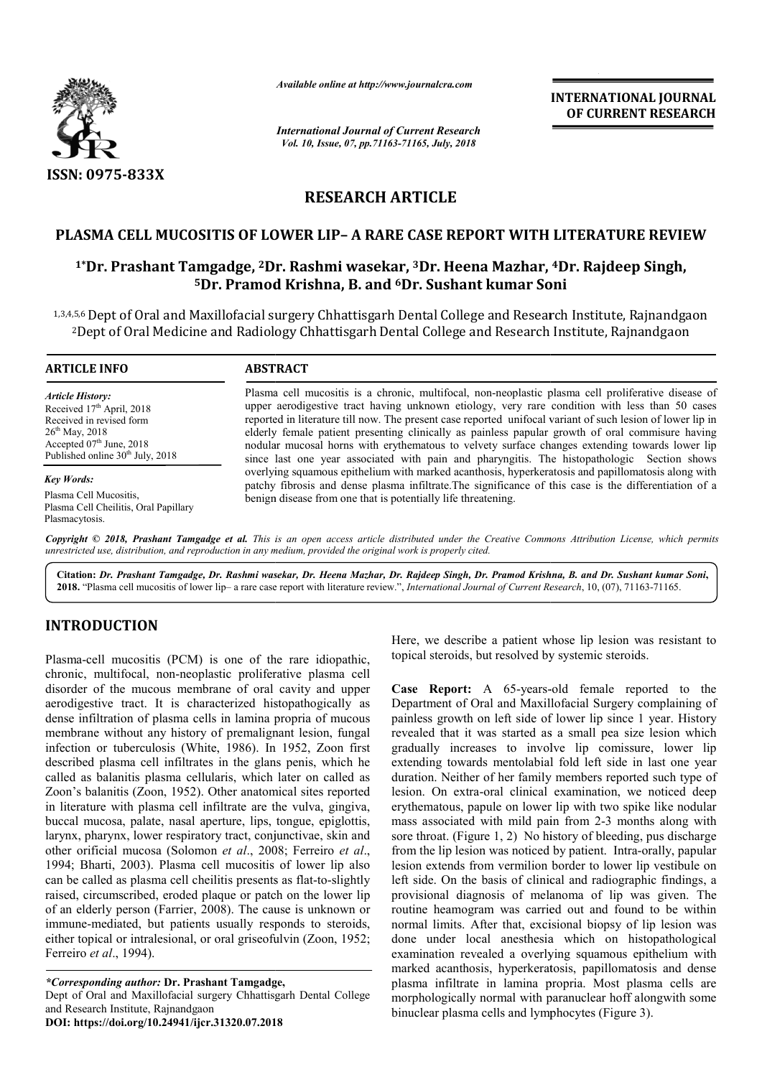

*Available online at http://www.journalcra.com*

*International Journal of Current Research Vol. 10, Issue, 07, pp.71163-71165, July, 2018*

**INTERNATIONAL JOURNAL OF CURRENT RESEARCH**

# **RESEARCH ARTICLE**

## **PLASMA CELL MUCOSITIS OF LOWER LIP LIP– A RARE CASE REPORT WITH LITERATURE REVIEW**

# ASMA CELL MUCOSITIS OF LOWER LIP- A RARE CASE REPORT WITH LITERATURE REVIE<br><sup>1\*</sup>Dr. Prashant Tamgadge, <sup>2</sup>Dr. Rashmi wasekar, <sup>3</sup>Dr. Heena Mazhar, <sup>4</sup>Dr. Rajdeep Singh, <sup>5</sup>Dr. Pramod Krishna, B. and <sup>6</sup>Dr. Sushant kumar Soni

1,3,4,5,6Dept of Oral and Maxillofacial surgery Chhattisgarh Dental College and Research Institute, Rajnandgaon ,5,6 Dept of Oral and Maxillofacial surgery Chhattisgarh Dental College and Research Institute, Rajnandga<br><sup>2</sup>Dept of Oral Medicine and Radiology Chhattisgarh Dental College and Research Institute, Rajnandgaon

#### **ARTICLE INFO ABSTRACT**

*Article History:* Received 17<sup>th</sup> April, 2018 Received in revised form 26<sup>th</sup> May, 2018 Accepted  $07<sup>th</sup>$  June, 2018 Published online  $30<sup>th</sup>$  July, 2018

*Key Words:* Plasma Cell Mucositis, Plasma Cell Cheilitis, Oral Papillary Plasmacytosis.

Plasma cell mucositis is a chronic, multifocal, non-neoplastic plasma cell proliferative disease of Plasma cell mucositis is a chronic, multifocal, non-neoplastic plasma cell proliferative disease of upper aerodigestive tract having unknown etiology, very rare condition with less than 50 cases reported in literature till now. The present case reported unifocal variant of such lesion of lower lip in elderly female patient presenting clinically as painless papular growth of oral commisure having nodular mucosal horns with erythematous to velvety surface changes since last one year associated with pain and pharyngitis. The histopathologic Section shows overlying squamous epithelium with marked acanthosis, hyperkeratosis and papillomatosis along with overlying squamous epithelium with marked acanthosis, hyperkeratosis and papillomatosis along with patchy fibrosis and dense plasma infiltrate. The significance of this case is the differentiation of a benign disease from one that is potentially life threatening. reported in literature till now. The present case reported unifocal variant of such lesion of lower lip in elderly female patient presenting clinically as painless papular growth of oral commisure having nodular mucosal ho

Copyright © 2018, Prashant Tamgadge et al. This is an open access article distributed under the Creative Commons Attribution License, which permits *unrestricted use, distribution, and reproduction in any medium, provided the original work is properly cited.*

**Citation:** *Dr. Prashant Tamgadge, Dr. Rashmi wasekar, Dr. Heena Mazhar, Dr. Rajdeep Singh, Dr. Pramod Krishna, B. and Dr. Rashmi wasekar, Heena Rajdeep Pramod Sushant kumar Soni***,** 2018. "Plasma cell mucositis of lower lip- a rare case report with literature review.", *International Journal of Current Research*, 10, (07), 71163-71165.

# **INTRODUCTION**

Plasma-cell mucositis (PCM) is one of the rare idiopathic, chronic, multifocal, non-neoplastic proliferative plasma cell disorder of the mucous membrane of oral cavity and upper aerodigestive tract. It is characterized histopathogically as Plasma-cell mucositis (PCM) is one of the rare idiopathic, chronic, multifocal, non-neoplastic proliferative plasma cell disorder of the mucous membrane of oral cavity and upper aerodigestive tract. It is characterized his membrane without any history of premalignant lesion, fungal infection or tuberculosis (White, 1986). In 1952, Zoon first described plasma cell infiltrates in the glans penis, which he called as balanitis plasma cellularis, which later on called as Zoon's balanitis (Zoon, 1952). Other anatomical sites reported in literature with plasma cell infiltrate are the vulva, gingiva, buccal mucosa, palate, nasal aperture, lips, tongue, epiglottis, larynx, pharynx, lower respiratory tract, conjunctivae, skin and other orificial mucosa (Solomon *et al*., 2008; Ferreiro *et al*., 1994; Bharti, 2003). Plasma cell mucositis of lower lip also can be called as plasma cell cheilitis presents as flat-to-slightly raised, circumscribed, eroded plaque or patch on the lower lip of an elderly person (Farrier, 2008). The cause is unknown or immune-mediated, but patients usually responds to steroids, either topical or intralesional, or oral griseofulvin (Zoon, 1952; Ferreiro *et al*., 1994).

Dept of Oral and Maxillofacial surgery Chhattisgarh Dental College and Research Institute, Rajnandgaon

**DOI: https://doi.org/10.24941/ijcr.31320.07.2018**

Here, we describe a patient whose lip lesion was resistant to topical steroids, but resolved by systemic steroids. Here, we describe a patient whose lip lesion was resistant to topical steroids, but resolved by systemic steroids.<br> **Case Report:** A 65-years-old female reported to the

Department of Oral and Maxillofacial Surgery complaining of Department of Oral and Maxillofacial Surgery complaining of painless growth on left side of lower lip since 1 year. History revealed that it was started as a small pea size lesion which gradually increases to involve lip comissure, lower lip extending towards mentolabial fold left side in last one year duration. Neither of her family members reported such type of lesion. On extra-oral clinical examination, we noticed deep erythematous, papule on lower lip with two spike like nodular mass associated with mild pain from 2-3 months along with sore throat. (Figure 1, 2) No history of bleeding, pus discharge sore throat. (Figure 1, 2) No history of bleeding, pus discharge from the lip lesion was noticed by patient. Intra-orally, papular lesion extends from vermilion border to lower lip vestibule on left side. On the basis of clinical and radiographic findings, a lesion extends from vermilion border to lower lip vestibule on left side. On the basis of clinical and radiographic findings, a provisional diagnosis of melanoma of lip was given. The routine heamogram was carried out and found to be within normal limits. After that, excisional biopsy of lip lesion was routine heamogram was carried out and found to be within normal limits. After that, excisional biopsy of lip lesion was done under local anesthesia which on histopathological examination revealed a overlying squamous epithelium with marked acanthosis, hyperkeratosis, papillomatosis and dense plasma infiltrate in lamina propria. Most plasma cells are morphologically normal with paranuclear hoff alongwith some binuclear plasma cells and lymphocytes (Figure 3). revealed that it was started as a small pea size lesion which gradually increases to involve lip comissure, lower lip extending towards mentolabial fold left side in last one year duration. Neither of her family members re

*<sup>\*</sup>Corresponding author:* **Dr. Prashant Tamgadge Tamgadge,**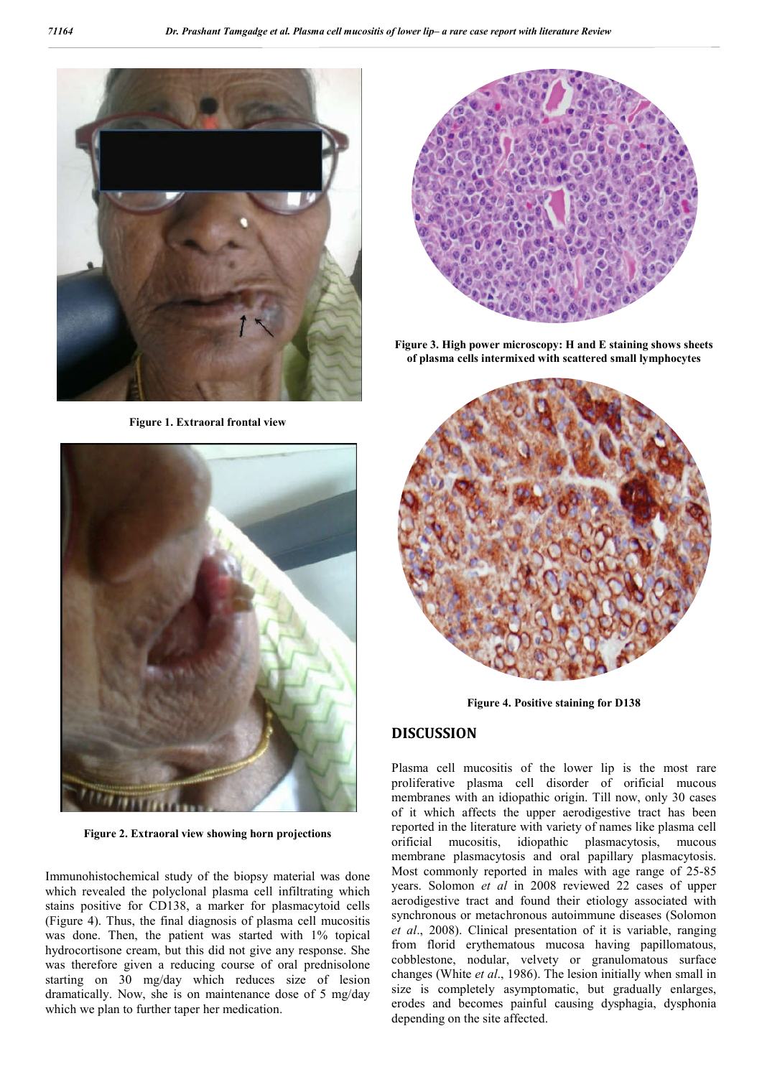

**Figure 1. Extraoral frontal view**



**Figure 2. Extraoral view showing horn projections**

Immunohistochemical study of the biopsy material was done which revealed the polyclonal plasma cell infiltrating which stains positive for CD138, a marker for plasmacytoid cells (Figure 4). Thus, the final diagnosis of plasma cell mucositis was done. Then, the patient was started with 1% topical hydrocortisone cream, but this did not give any response. She was therefore given a reducing course of oral prednisolone starting on 30 mg/day which reduces size of lesion dramatically. Now, she is on maintenance dose of 5 mg/day which we plan to further taper her medication.



**Figure 3. High power microscopy: H and E staining shows sheets of plasma cells intermixed with scattered small lymphocytes**



**Figure 4. Positive staining for D138**

### **DISCUSSION**

Plasma cell mucositis of the lower lip is the most rare proliferative plasma cell disorder of orificial mucous membranes with an idiopathic origin. Till now, only 30 cases of it which affects the upper aerodigestive tract has been reported in the literature with variety of names like plasma cell orificial mucositis, idiopathic plasmacytosis, mucous membrane plasmacytosis and oral papillary plasmacytosis. Most commonly reported in males with age range of 25-85 years. Solomon *et al* in 2008 reviewed 22 cases of upper aerodigestive tract and found their etiology associated with synchronous or metachronous autoimmune diseases (Solomon *et al*., 2008). Clinical presentation of it is variable, ranging from florid erythematous mucosa having papillomatous, cobblestone, nodular, velvety or granulomatous surface changes (White *et al*., 1986). The lesion initially when small in size is completely asymptomatic, but gradually enlarges, erodes and becomes painful causing dysphagia, dysphonia depending on the site affected.